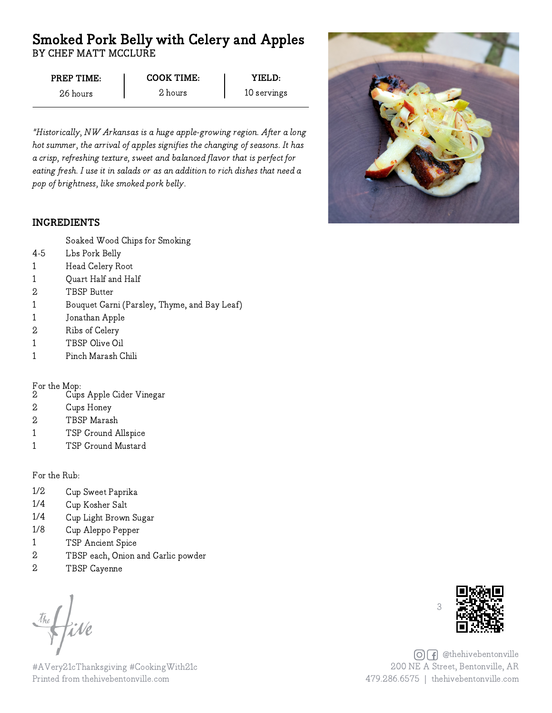# Smoked Pork Belly with Celery and Apples BY CHEF MATT MCCLURE

| PREP TIME: | COOK TIME: | YIFI.D:     |
|------------|------------|-------------|
| 26 hours   | 2 hours    | 10 servings |

"Historically, NW Arkansas is a huge apple-growing region. After a long hot summer, the arrival of apples signifies the changing of seasons. It has a crisp, refreshing texture, sweet and balanced flavor that is perfect for eating fresh. I use it in salads or as an addition to rich dishes that need a pop of brightness, like smoked pork belly.

## INGREDIENTS



- Soaked Wood Chips for Smoking
- Lbs Pork Belly 4-5
- Head Celery Root 1
- Quart Half and Half 1
- TBSP Butter 2
- Bouquet Garni (Parsley, Thyme, and Bay Leaf) 1
- Jonathan Apple 1
- Ribs of Celery 2
- TBSP Olive Oil 1
- Pinch Marash Chili 1

#### For the Mop:

- Cups Apple Cider Vinegar 2
- Cups Honey 2
- TBSP Marash 2
- TSP Ground Allspice 1
- TSP Ground Mustard 1

For the Rub:

- 1/2 Cup Sweet Paprika
- 1/4 Cup Kosher Salt
- 1/4 Cup Light Brown Sugar
- 1/8 Cup Aleppo Pepper
- 1 TSP Ancient Spice
- 2 TBSP each, Onion and Garlic powder
- 2 TBSP Cayenne

#AVery21cThanksgiving #CookingWith21c Printed from thehivebentonville.com



**OF** @thehivebentonville 200 NE A Street, Bentonville, AR 479.286.6575 | thehivebentonville.com